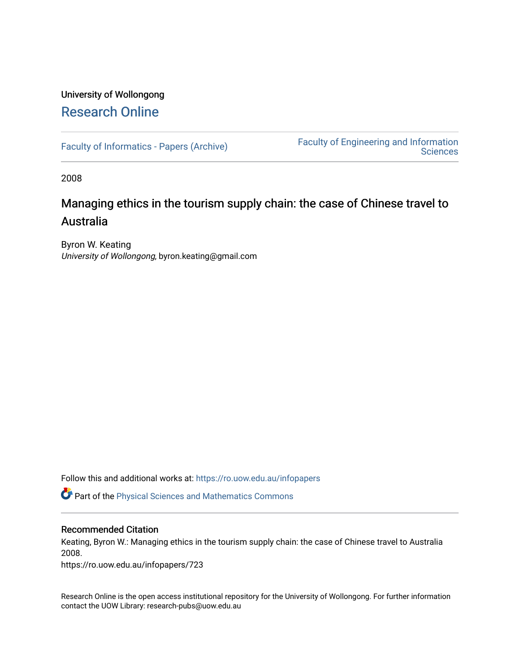# University of Wollongong [Research Online](https://ro.uow.edu.au/)

[Faculty of Informatics - Papers \(Archive\)](https://ro.uow.edu.au/infopapers) [Faculty of Engineering and Information](https://ro.uow.edu.au/eis)  **Sciences** 

2008

# Managing ethics in the tourism supply chain: the case of Chinese travel to Australia

Byron W. Keating University of Wollongong, byron.keating@gmail.com

Follow this and additional works at: [https://ro.uow.edu.au/infopapers](https://ro.uow.edu.au/infopapers?utm_source=ro.uow.edu.au%2Finfopapers%2F723&utm_medium=PDF&utm_campaign=PDFCoverPages)

Part of the [Physical Sciences and Mathematics Commons](http://network.bepress.com/hgg/discipline/114?utm_source=ro.uow.edu.au%2Finfopapers%2F723&utm_medium=PDF&utm_campaign=PDFCoverPages) 

### Recommended Citation

Keating, Byron W.: Managing ethics in the tourism supply chain: the case of Chinese travel to Australia 2008.

https://ro.uow.edu.au/infopapers/723

Research Online is the open access institutional repository for the University of Wollongong. For further information contact the UOW Library: research-pubs@uow.edu.au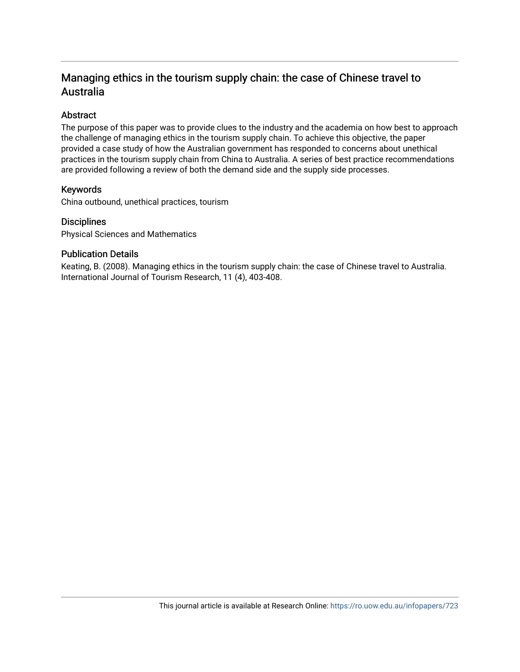# Managing ethics in the tourism supply chain: the case of Chinese travel to Australia

# Abstract

The purpose of this paper was to provide clues to the industry and the academia on how best to approach the challenge of managing ethics in the tourism supply chain. To achieve this objective, the paper provided a case study of how the Australian government has responded to concerns about unethical practices in the tourism supply chain from China to Australia. A series of best practice recommendations are provided following a review of both the demand side and the supply side processes.

## Keywords

China outbound, unethical practices, tourism

## **Disciplines**

Physical Sciences and Mathematics

## Publication Details

Keating, B. (2008). Managing ethics in the tourism supply chain: the case of Chinese travel to Australia. International Journal of Tourism Research, 11 (4), 403-408.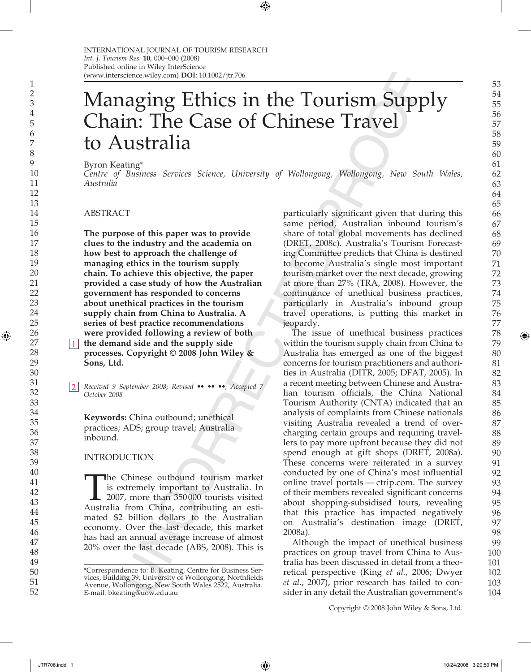# Managing Ethics in the Tourism Supply Chain: The Case of Chinese Travel to Australia

⊕

Byron Keating\*

*Centre of Business Services Science, University of Wollongong, Wollongong, New South Wales, Australia*

#### ABSTRACT

**The purpose of this paper was to provide clues to the industry and the academia on how best to approach the challenge of managing ethics in the tourism supply chain. To achieve this objective, the paper provided a case study of how the Australian government has responded to concerns about unethical practices in the tourism supply chain from China to Australia. A series of best practice recommendations were provided following a review of both the demand side and the supply side processes. Copyright © 2008 John Wiley & Sons, Ltd.**

*Received 9 September 2008; Revised •• •• ••; Accepted 7 October 2008* 2

**Keywords:** China outbound; unethical practices; ADS; group travel; Australia inbound.

#### INTRODUCTION

The Chinese outbound tourism market<br>is extremely important to Australia. In<br>2007, more than 350 000 tourists visited<br>Australia from China, contributing an estiis extremely important to Australia. In 2007, more than 350 000 tourists visited Australia from China, contributing an estimated \$2 billion dollars to the Australian economy. Over the last decade, this market has had an annual average increase of almost 20% over the last decade (ABS, 2008). This is

particularly significant given that during this same period, Australian inbound tourism's share of total global movements has declined (DRET, 2008c). Australia's Tourism Forecasting Committee predicts that China is destined to become Australia's single most important tourism market over the next decade, growing at more than 27% (TRA, 2008). However, the continuance of unethical business practices, particularly in Australia's inbound group travel operations, is putting this market in jeopardy.

The issue of unethical business practices within the tourism supply chain from China to Australia has emerged as one of the biggest concerns for tourism practitioners and authorities in Australia (DITR, 2005; DFAT, 2005). In a recent meeting between Chinese and Australian tourism officials, the China National Tourism Authority (CNTA) indicated that an analysis of complaints from Chinese nationals visiting Australia revealed a trend of overcharging certain groups and requiring travellers to pay more upfront because they did not spend enough at gift shops (DRET, 2008a). These concerns were reiterated in a survey conducted by one of China's most influential online travel portals — ctrip.com. The survey of their members revealed significant concerns about shopping-subsidised tours, revealing that this practice has impacted negatively on Australia's destination image (DRET, 2008a).

100 101 102 103 104 Although the impact of unethical business practices on group travel from China to Australia has been discussed in detail from a theoretical perspective (King *et al.*, 2006; Dwyer *et al.*, 2007), prior research has failed to consider in any detail the Australian government's

Copyright © 2008 John Wiley & Sons, Ltd.

⊕

1

⇔

<sup>\*</sup>Correspondence to: B. Keating, Centre for Business Services, Building 39, University of Wollongong, Northfields Avenue, Wollongong, New South Wales 2522, Australia. E-mail: bkeating@uow.edu.au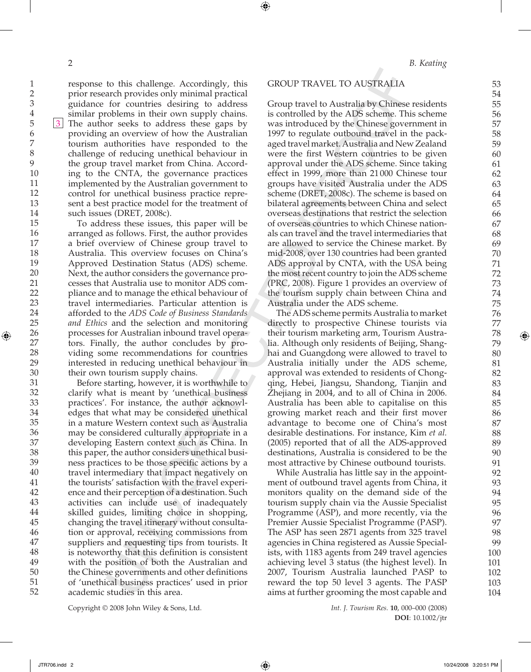response to this challenge. Accordingly, this prior research provides only minimal practical guidance for countries desiring to address similar problems in their own supply chains. 3 The author seeks to address these gaps by

providing an overview of how the Australian tourism authorities have responded to the challenge of reducing unethical behaviour in the group travel market from China. According to the CNTA, the governance practices implemented by the Australian government to control for unethical business practice represent a best practice model for the treatment of such issues (DRET, 2008c).

To address these issues, this paper will be arranged as follows. First, the author provides a brief overview of Chinese group travel to Australia. This overview focuses on China's Approved Destination Status (ADS) scheme. Next, the author considers the governance processes that Australia use to monitor ADS compliance and to manage the ethical behaviour of travel intermediaries. Particular attention is afforded to the *ADS Code of Business Standards and Ethics* and the selection and monitoring processes for Australian inbound travel operators. Finally, the author concludes by providing some recommendations for countries interested in reducing unethical behaviour in their own tourism supply chains.

31 32 33 34 35 36 37 38 39 40 41 42 43 44 45 46 47 48 49 50 51 52 Before starting, however, it is worthwhile to clarify what is meant by 'unethical business practices'. For instance, the author acknowledges that what may be considered unethical in a mature Western context such as Australia may be considered culturally appropriate in a developing Eastern context such as China. In this paper, the author considers unethical business practices to be those specific actions by a travel intermediary that impact negatively on the tourists' satisfaction with the travel experience and their perception of a destination. Such activities can include use of inadequately skilled guides, limiting choice in shopping, changing the travel itinerary without consultation or approval, receiving commissions from suppliers and requesting tips from tourists. It is noteworthy that this definition is consistent with the position of both the Australian and the Chinese governments and other definitions of 'unethical business practices' used in prior academic studies in this area.

#### GROUP TRAVEL TO AUSTRALIA

⊕

Group travel to Australia by Chinese residents is controlled by the ADS scheme. This scheme was introduced by the Chinese government in 1997 to regulate outbound travel in the packaged travel market. Australia and New Zealand were the first Western countries to be given approval under the ADS scheme. Since taking effect in 1999, more than 21000 Chinese tour groups have visited Australia under the ADS scheme (DRET, 2008c). The scheme is based on bilateral agreements between China and select overseas destinations that restrict the selection of overseas countries to which Chinese nationals can travel and the travel intermediaries that are allowed to service the Chinese market. By mid-2008, over 130 countries had been granted ADS approval by CNTA, with the USA being the most recent country to join the ADS scheme (PRC, 2008). Figure 1 provides an overview of the tourism supply chain between China and Australia under the ADS scheme.

The ADS scheme permits Australia to market directly to prospective Chinese tourists via their tourism marketing arm, Tourism Australia. Although only residents of Beijing, Shanghai and Guangdong were allowed to travel to Australia initially under the ADS scheme, approval was extended to residents of Chongqing, Hebei, Jiangsu, Shandong, Tianjin and Zhejiang in 2004, and to all of China in 2006. Australia has been able to capitalise on this growing market reach and their first mover advantage to become one of China's most desirable destinations. For instance, Kim *et al.* (2005) reported that of all the ADS-approved destinations, Australia is considered to be the most attractive by Chinese outbound tourists.

While Australia has little say in the appointment of outbound travel agents from China, it monitors quality on the demand side of the tourism supply chain via the Aussie Specialist Programme (ASP), and more recently, via the Premier Aussie Specialist Programme (PASP). The ASP has seen 2871 agents from 325 travel agencies in China registered as Aussie Specialists, with 1183 agents from 249 travel agencies achieving level 3 status (the highest level). In 2007, Tourism Australia launched PASP to reward the top 50 level 3 agents. The PASP aims at further grooming the most capable and

Copyright © 2008 John Wiley & Sons, Ltd. *Int. J. Tourism Res.* **10**, 000–000 (2008)

**DOI**: 10.1002/jtr

⊕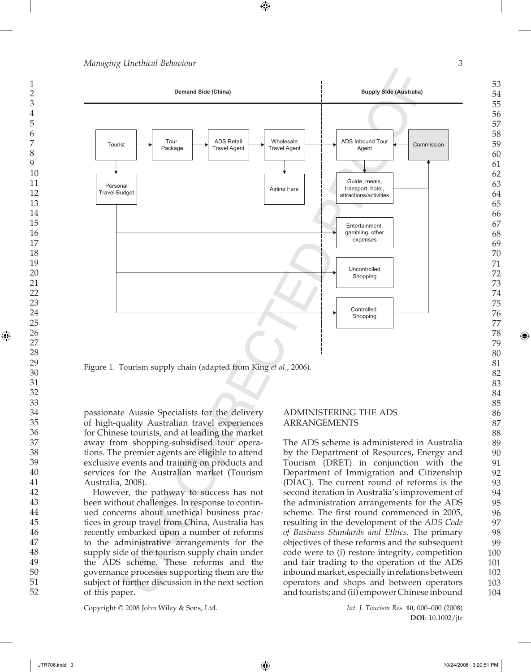#### *Managing Unethical Behaviour* 3



⊕



⊕

Figure 1. Tourism supply chain (adapted from King *et al.*, 2006).

passionate Aussie Specialists for the delivery of high-quality Australian travel experiences for Chinese tourists, and at leading the market away from shopping-subsidised tour operations. The premier agents are eligible to attend exclusive events and training on products and services for the Australian market (Tourism Australia, 2008).

However, the pathway to success has not been without challenges. In response to continued concerns about unethical business practices in group travel from China, Australia has recently embarked upon a number of reforms to the administrative arrangements for the supply side of the tourism supply chain under the ADS scheme. These reforms and the governance processes supporting them are the subject of further discussion in the next section of this paper.

Copyright © 2008 John Wiley & Sons, Ltd. *Int. J. Tourism Res.* **10**, 000–000 (2008)

#### ADMINISTERING THE ADS ARRANGEMENTS

 The ADS scheme is administered in Australia by the Department of Resources, Energy and Tourism (DRET) in conjunction with the Department of Immigration and Citizenship (DIAC). The current round of reforms is the second iteration in Australia's improvement of the administration arrangements for the ADS scheme. The first round commenced in 2005, resulting in the development of the *ADS Code of Business Standards and Ethics*. The primary objectives of these reforms and the subsequent code were to (i) restore integrity, competition and fair trading to the operation of the ADS inbound market, especially in relations between operators and shops and between operators and tourists; and (ii) empower Chinese inbound

**DOI**: 10.1002/jtr

⊕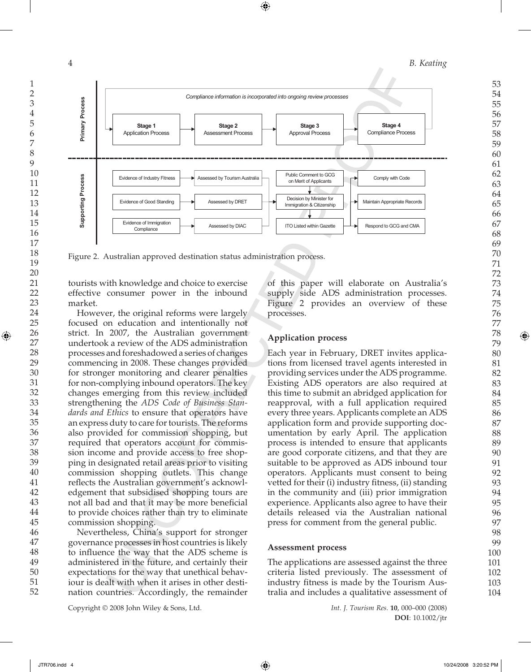#### 4 *B. Keating*

 $\bigoplus$ 



 $\bigoplus$ 

Figure 2. Australian approved destination status administration process.

tourists with knowledge and choice to exercise effective consumer power in the inbound market.

However, the original reforms were largely focused on education and intentionally not strict. In 2007, the Australian government undertook a review of the ADS administration processes and foreshadowed a series of changes commencing in 2008. These changes provided for stronger monitoring and clearer penalties for non-complying inbound operators. The key changes emerging from this review included strengthening the *ADS Code of Business Standards and Ethics* to ensure that operators have an express duty to care for tourists. The reforms also provided for commission shopping, but required that operators account for commission income and provide access to free shopping in designated retail areas prior to visiting commission shopping outlets. This change reflects the Australian government's acknowledgement that subsidised shopping tours are not all bad and that it may be more beneficial to provide choices rather than try to eliminate commission shopping.

46 47 48 49 50 51 52 Nevertheless, China's support for stronger governance processes in host countries is likely to influence the way that the ADS scheme is administered in the future, and certainly their expectations for the way that unethical behaviour is dealt with when it arises in other destination countries. Accordingly, the remainder

of this paper will elaborate on Australia's supply side ADS administration processes. Figure 2 provides an overview of these processes.

#### **Application process**

Each year in February, DRET invites applications from licensed travel agents interested in providing services under the ADS programme. Existing ADS operators are also required at this time to submit an abridged application for reapproval, with a full application required every three years. Applicants complete an ADS application form and provide supporting documentation by early April. The application process is intended to ensure that applicants are good corporate citizens, and that they are suitable to be approved as ADS inbound tour operators. Applicants must consent to being vetted for their (i) industry fitness, (ii) standing in the community and (iii) prior immigration experience. Applicants also agree to have their details released via the Australian national press for comment from the general public.

#### **Assessment process**

The applications are assessed against the three criteria listed previously. The assessment of industry fitness is made by the Tourism Australia and includes a qualitative assessment of

Copyright © 2008 John Wiley & Sons, Ltd. *Int. J. Tourism Res.* **10**, 000–000 (2008)

**DOI**: 10.1002/jtr

⊕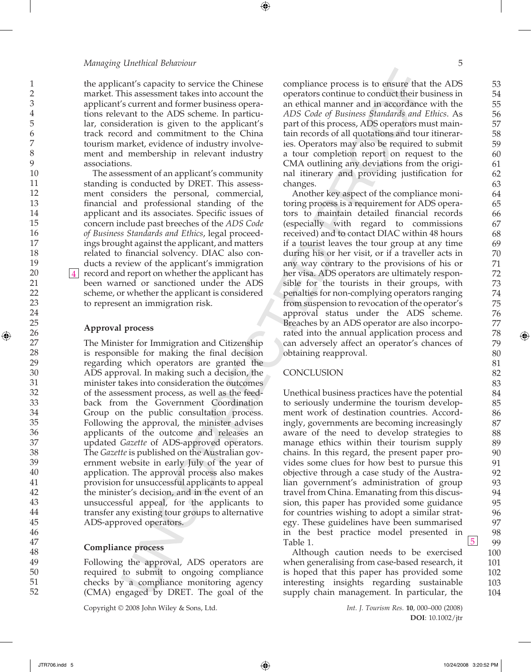the applicant's capacity to service the Chinese market. This assessment takes into account the applicant's current and former business operations relevant to the ADS scheme. In particular, consideration is given to the applicant's track record and commitment to the China tourism market, evidence of industry involvement and membership in relevant industry associations.

⊕

The assessment of an applicant's community standing is conducted by DRET. This assessment considers the personal, commercial, financial and professional standing of the applicant and its associates. Specific issues of concern include past breeches of the *ADS Code of Business Standards and Ethics*, legal proceedings brought against the applicant, and matters related to financial solvency. DIAC also conducts a review of the applicant's immigration  $\frac{4}{2}$  record and report on whether the applicant has been warned or sanctioned under the ADS scheme, or whether the applicant is considered to represent an immigration risk.

#### **Approval process**

The Minister for Immigration and Citizenship is responsible for making the final decision regarding which operators are granted the ADS approval. In making such a decision, the minister takes into consideration the outcomes of the assessment process, as well as the feedback from the Government Coordination Group on the public consultation process. Following the approval, the minister advises applicants of the outcome and releases an updated *Gazette* of ADS-approved operators. The *Gazette* is published on the Australian government website in early July of the year of application. The approval process also makes provision for unsuccessful applicants to appeal the minister's decision, and in the event of an unsuccessful appeal, for the applicants to transfer any existing tour groups to alternative ADS-approved operators.

#### **Compliance process**

49 50 51 52 Following the approval, ADS operators are required to submit to ongoing compliance checks by a compliance monitoring agency (CMA) engaged by DRET. The goal of the

Copyright © 2008 John Wiley & Sons, Ltd. *Int. J. Tourism Res.* **10**, 000–000 (2008)

compliance process is to ensure that the ADS operators continue to conduct their business in an ethical manner and in accordance with the *ADS Code of Business Standards and Ethics*. As part of this process, ADS operators must maintain records of all quotations and tour itineraries. Operators may also be required to submit a tour completion report on request to the CMA outlining any deviations from the original itinerary and providing justification for changes.

Another key aspect of the compliance monitoring process is a requirement for ADS operators to maintain detailed financial records (especially with regard to commissions received) and to contact DIAC within 48 hours if a tourist leaves the tour group at any time during his or her visit, or if a traveller acts in any way contrary to the provisions of his or her visa. ADS operators are ultimately responsible for the tourists in their groups, with penalties for non-complying operators ranging from suspension to revocation of the operator's approval status under the ADS scheme. Breaches by an ADS operator are also incorporated into the annual application process and can adversely affect an operator's chances of obtaining reapproval.

#### **CONCLUSION**

Unethical business practices have the potential to seriously undermine the tourism development work of destination countries. Accordingly, governments are becoming increasingly aware of the need to develop strategies to manage ethics within their tourism supply chains. In this regard, the present paper provides some clues for how best to pursue this objective through a case study of the Australian government's administration of group travel from China. Emanating from this discussion, this paper has provided some guidance for countries wishing to adopt a similar strategy. These guidelines have been summarised in the best practice model presented in Table 1. 5

100 101 102 103 104 Although caution needs to be exercised when generalising from case-based research, it is hoped that this paper has provided some interesting insights regarding sustainable supply chain management. In particular, the

**DOI**: 10.1002/jtr

⇔

⊕

1 2